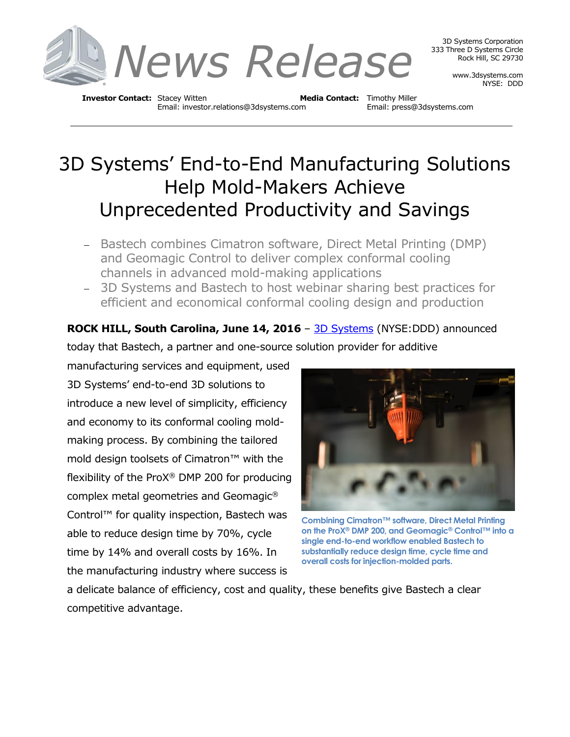

3D Systems Corporation 333 Three D Systems Circle Rock Hill, SC 29730

> www.3dsystems.com NYSE: DDD

**Investor Contact:** Stacey Witten **Media Contact:** Timothy Miller Email: investor.relations@3dsystems.com Email: press@3dsystems.com

## 3D Systems' End-to-End Manufacturing Solutions Help Mold-Makers Achieve Unprecedented Productivity and Savings

- Bastech combines Cimatron software, Direct Metal Printing (DMP) and Geomagic Control to deliver complex conformal cooling channels in advanced mold-making applications
- 3D Systems and Bastech to host webinar sharing best practices for efficient and economical conformal cooling design and production

## **ROCK HILL, South Carolina, June 14, 2016** – [3D Systems](http://3dsystems.com/) (NYSE:DDD) announced

today that Bastech, a partner and one-source solution provider for additive

manufacturing services and equipment, used 3D Systems' end-to-end 3D solutions to introduce a new level of simplicity, efficiency and economy to its conformal cooling moldmaking process. By combining the tailored mold design toolsets of Cimatron™ with the flexibility of the ProX® DMP 200 for producing complex metal geometries and Geomagic® Control™ for quality inspection, Bastech was able to reduce design time by 70%, cycle time by 14% and overall costs by 16%. In the manufacturing industry where success is



**Combining Cimatron™ software, Direct Metal Printing on the ProX® DMP 200, and Geomagic® Control™ into a single end-to-end workflow enabled Bastech to substantially reduce design time, cycle time and overall costs for injection-molded parts.**

a delicate balance of efficiency, cost and quality, these benefits give Bastech a clear competitive advantage.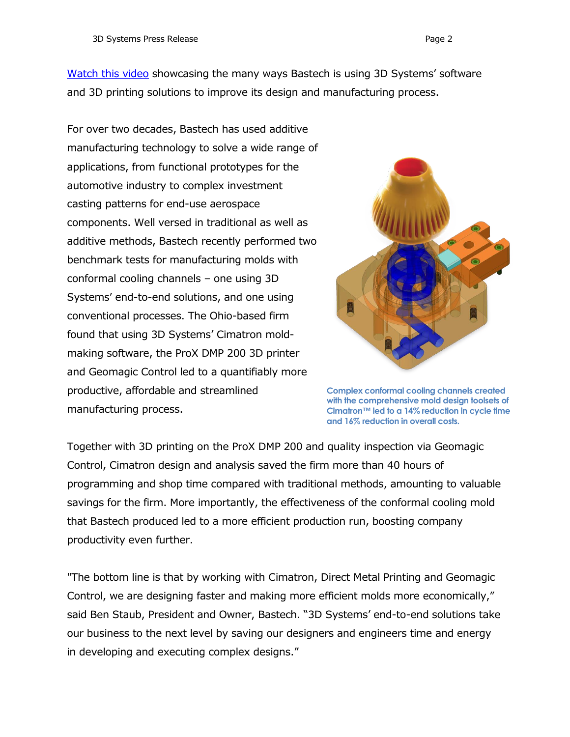[Watch](https://www.youtube.com/watch?v=TNeaAKPUx1k) this video showcasing the many ways Bastech is using 3D Systems' software and 3D printing solutions to improve its design and manufacturing process.

For over two decades, Bastech has used additive manufacturing technology to solve a wide range of applications, from functional prototypes for the automotive industry to complex investment casting patterns for end-use aerospace components. Well versed in traditional as well as additive methods, Bastech recently performed two benchmark tests for manufacturing molds with conformal cooling channels – one using 3D Systems' end-to-end solutions, and one using conventional processes. The Ohio-based firm found that using 3D Systems' Cimatron moldmaking software, the ProX DMP 200 3D printer and Geomagic Control led to a quantifiably more productive, affordable and streamlined manufacturing process.



**Complex conformal cooling channels created with the comprehensive mold design toolsets of Cimatron™ led to a 14% reduction in cycle time and 16% reduction in overall costs.**

Together with 3D printing on the ProX DMP 200 and quality inspection via Geomagic Control, Cimatron design and analysis saved the firm more than 40 hours of programming and shop time compared with traditional methods, amounting to valuable savings for the firm. More importantly, the effectiveness of the conformal cooling mold that Bastech produced led to a more efficient production run, boosting company productivity even further.

"The bottom line is that by working with Cimatron, Direct Metal Printing and Geomagic Control, we are designing faster and making more efficient molds more economically," said Ben Staub, President and Owner, Bastech. "3D Systems' end-to-end solutions take our business to the next level by saving our designers and engineers time and energy in developing and executing complex designs."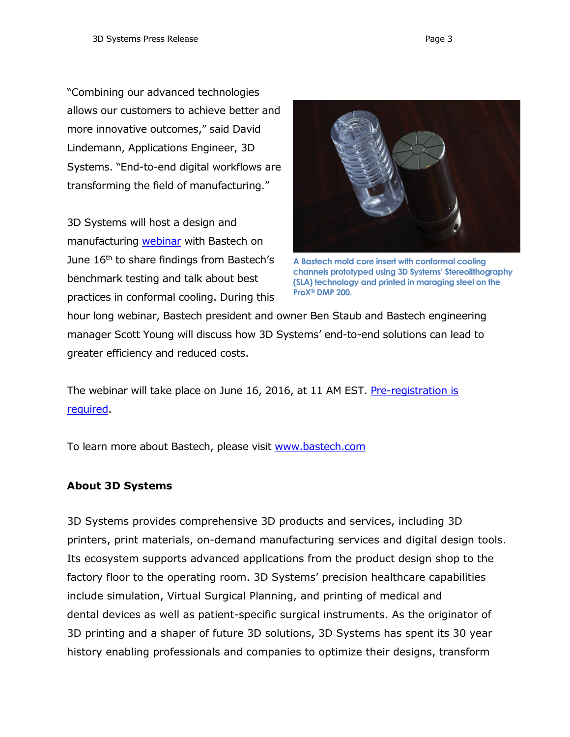"Combining our advanced technologies allows our customers to achieve better and more innovative outcomes," said David Lindemann, Applications Engineer, 3D Systems. "End-to-end digital workflows are transforming the field of manufacturing."

3D Systems will host a design and manufacturing [webinar](http://3dprinters.3dsystems.com/bastech-conformal-cooling-webinar/) with Bastech on June 16<sup>th</sup> to share findings from Bastech's benchmark testing and talk about best practices in conformal cooling. During this



**A Bastech mold core insert with conformal cooling channels prototyped using 3D Systems' Stereolithography (SLA) technology and printed in maraging steel on the ProX® DMP 200.**

hour long webinar, Bastech president and owner Ben Staub and Bastech engineering manager Scott Young will discuss how 3D Systems' end-to-end solutions can lead to greater efficiency and reduced costs.

The webinar will take place on June 16, 2016, at 11 AM EST. [Pre-registration](http://3dprinters.3dsystems.com/bastech-conformal-cooling-webinar/) is [required.](http://3dprinters.3dsystems.com/bastech-conformal-cooling-webinar/)

To learn more about Bastech, please visit [www.bastech.com](http://www.bastech.com/)

## **About 3D Systems**

3D Systems provides comprehensive 3D products and services, including 3D printers, print materials, on-demand manufacturing services and digital design tools. Its ecosystem supports advanced applications from the product design shop to the factory floor to the operating room. 3D Systems' precision healthcare capabilities include simulation, Virtual Surgical Planning, and printing of medical and dental devices as well as patient-specific surgical instruments. As the originator of 3D printing and a shaper of future 3D solutions, 3D Systems has spent its 30 year history enabling professionals and companies to optimize their designs, transform